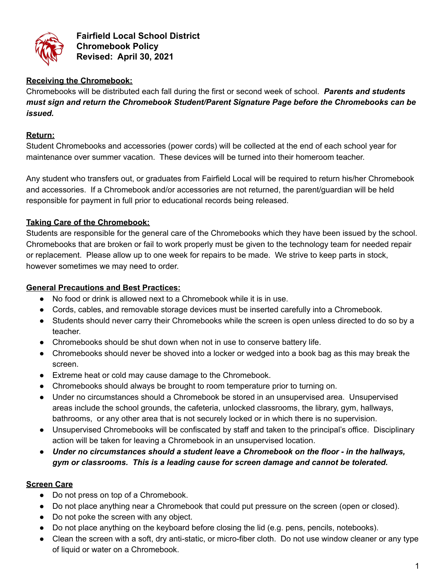

**Fairfield Local School District Chromebook Policy Revised: April 30, 2021**

## **Receiving the Chromebook:**

Chromebooks will be distributed each fall during the first or second week of school. *Parents and students must sign and return the Chromebook Student/Parent Signature Page before the Chromebooks can be issued.*

## **Return:**

Student Chromebooks and accessories (power cords) will be collected at the end of each school year for maintenance over summer vacation. These devices will be turned into their homeroom teacher.

Any student who transfers out, or graduates from Fairfield Local will be required to return his/her Chromebook and accessories. If a Chromebook and/or accessories are not returned, the parent/guardian will be held responsible for payment in full prior to educational records being released.

## **Taking Care of the Chromebook:**

Students are responsible for the general care of the Chromebooks which they have been issued by the school. Chromebooks that are broken or fail to work properly must be given to the technology team for needed repair or replacement. Please allow up to one week for repairs to be made. We strive to keep parts in stock, however sometimes we may need to order.

## **General Precautions and Best Practices:**

- No food or drink is allowed next to a Chromebook while it is in use.
- Cords, cables, and removable storage devices must be inserted carefully into a Chromebook.
- Students should never carry their Chromebooks while the screen is open unless directed to do so by a teacher.
- Chromebooks should be shut down when not in use to conserve battery life.
- Chromebooks should never be shoved into a locker or wedged into a book bag as this may break the screen.
- Extreme heat or cold may cause damage to the Chromebook.
- Chromebooks should always be brought to room temperature prior to turning on.
- Under no circumstances should a Chromebook be stored in an unsupervised area. Unsupervised areas include the school grounds, the cafeteria, unlocked classrooms, the library, gym, hallways, bathrooms, or any other area that is not securely locked or in which there is no supervision.
- Unsupervised Chromebooks will be confiscated by staff and taken to the principal's office. Disciplinary action will be taken for leaving a Chromebook in an unsupervised location.
- *● Under no circumstances should a student leave a Chromebook on the floor - in the hallways, gym or classrooms. This is a leading cause for screen damage and cannot be tolerated.*

# **Screen Care**

- Do not press on top of a Chromebook.
- Do not place anything near a Chromebook that could put pressure on the screen (open or closed).
- Do not poke the screen with any object.
- Do not place anything on the keyboard before closing the lid (e.g. pens, pencils, notebooks).
- Clean the screen with a soft, dry anti-static, or micro-fiber cloth. Do not use window cleaner or any type of liquid or water on a Chromebook.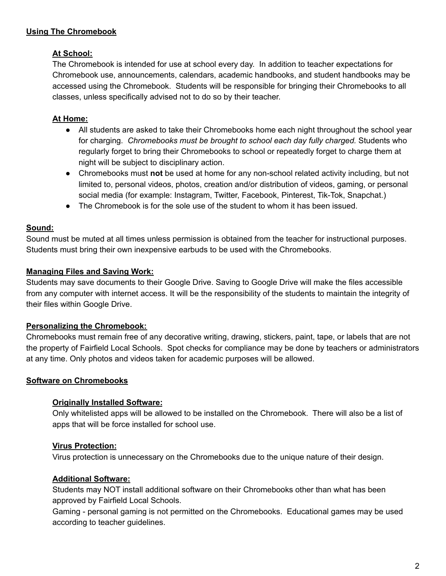## **Using The Chromebook**

## **At School:**

The Chromebook is intended for use at school every day. In addition to teacher expectations for Chromebook use, announcements, calendars, academic handbooks, and student handbooks may be accessed using the Chromebook. Students will be responsible for bringing their Chromebooks to all classes, unless specifically advised not to do so by their teacher.

## **At Home:**

- All students are asked to take their Chromebooks home each night throughout the school year for charging. *Chromebooks must be brought to school each day fully charged.* Students who regularly forget to bring their Chromebooks to school or repeatedly forget to charge them at night will be subject to disciplinary action.
- Chromebooks must **not** be used at home for any non-school related activity including, but not limited to, personal videos, photos, creation and/or distribution of videos, gaming, or personal social media (for example: Instagram, Twitter, Facebook, Pinterest, Tik-Tok, Snapchat.)
- The Chromebook is for the sole use of the student to whom it has been issued.

## **Sound:**

Sound must be muted at all times unless permission is obtained from the teacher for instructional purposes. Students must bring their own inexpensive earbuds to be used with the Chromebooks.

## **Managing Files and Saving Work:**

Students may save documents to their Google Drive. Saving to Google Drive will make the files accessible from any computer with internet access. It will be the responsibility of the students to maintain the integrity of their files within Google Drive.

# **Personalizing the Chromebook:**

Chromebooks must remain free of any decorative writing, drawing, stickers, paint, tape, or labels that are not the property of Fairfield Local Schools. Spot checks for compliance may be done by teachers or administrators at any time. Only photos and videos taken for academic purposes will be allowed.

## **Software on Chromebooks**

## **Originally Installed Software:**

Only whitelisted apps will be allowed to be installed on the Chromebook. There will also be a list of apps that will be force installed for school use.

# **Virus Protection:**

Virus protection is unnecessary on the Chromebooks due to the unique nature of their design.

## **Additional Software:**

Students may NOT install additional software on their Chromebooks other than what has been approved by Fairfield Local Schools.

Gaming - personal gaming is not permitted on the Chromebooks. Educational games may be used according to teacher guidelines.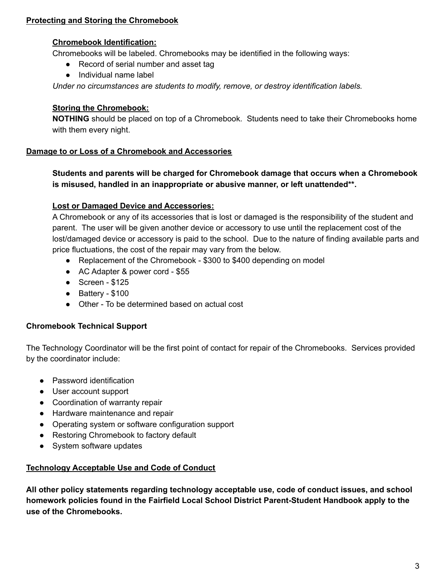## **Protecting and Storing the Chromebook**

#### **Chromebook Identification:**

Chromebooks will be labeled. Chromebooks may be identified in the following ways:

- Record of serial number and asset tag
- Individual name label

*Under no circumstances are students to modify, remove, or destroy identification labels.*

#### **Storing the Chromebook:**

**NOTHING** should be placed on top of a Chromebook. Students need to take their Chromebooks home with them every night.

### **Damage to or Loss of a Chromebook and Accessories**

**Students and parents will be charged for Chromebook damage that occurs when a Chromebook is misused, handled in an inappropriate or abusive manner, or left unattended\*\*.**

### **Lost or Damaged Device and Accessories:**

A Chromebook or any of its accessories that is lost or damaged is the responsibility of the student and parent. The user will be given another device or accessory to use until the replacement cost of the lost/damaged device or accessory is paid to the school. Due to the nature of finding available parts and price fluctuations, the cost of the repair may vary from the below.

- Replacement of the Chromebook \$300 to \$400 depending on model
- AC Adapter & power cord \$55
- $\bullet$  Screen \$125
- Battery \$100
- Other To be determined based on actual cost

#### **Chromebook Technical Support**

The Technology Coordinator will be the first point of contact for repair of the Chromebooks. Services provided by the coordinator include:

- Password identification
- User account support
- Coordination of warranty repair
- Hardware maintenance and repair
- Operating system or software configuration support
- Restoring Chromebook to factory default
- System software updates

#### **Technology Acceptable Use and Code of Conduct**

**All other policy statements regarding technology acceptable use, code of conduct issues, and school homework policies found in the Fairfield Local School District Parent-Student Handbook apply to the use of the Chromebooks.**